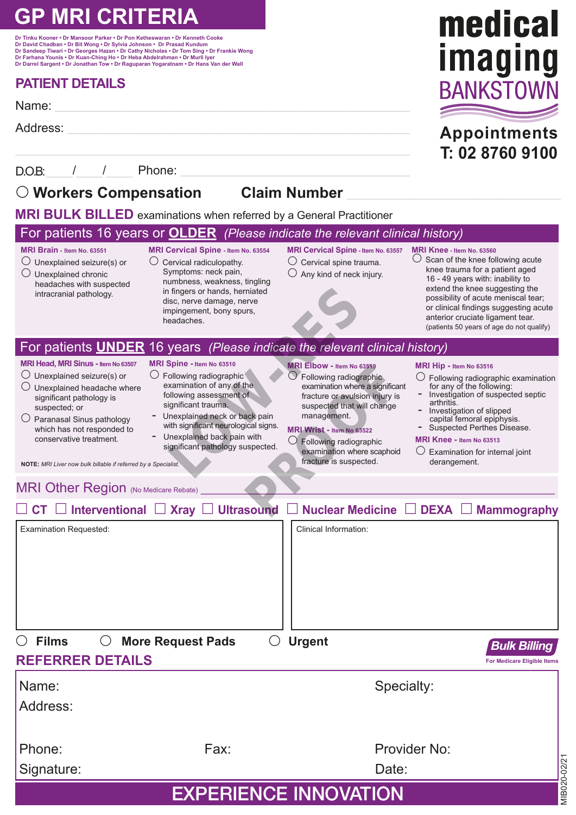# **GP MRI CRITERIA**

**Dr Tinku Kooner • Dr Mansoor Parker • Dr Pon Ketheswaran • Dr Kenneth Cooke Dr David Chadban • Dr Bit Wong • Dr Sylvia Johnson • Dr Prasad Kundum Dr Sandeep Tiwari • Dr Georges Hazan • Dr Cathy Nicholas • Dr Tom Sing • Dr Frankie Wong Dr Farhana Younis • Dr Kuan-Ching Ho • Dr Heba Abdelrahman • Dr Murli Iyer Dr Darrel Sargent • Dr Jonathan Tow • Dr Raguparan Yogaratnam • Dr Hans Van der Wall**

### **PATIENT DETAILS**

Name: \_\_\_\_\_\_\_\_\_\_\_\_\_\_\_\_\_\_\_\_\_\_\_\_\_\_\_\_\_\_\_\_\_\_\_\_\_\_\_\_\_\_\_\_\_\_\_\_\_\_\_\_\_\_\_\_\_\_\_\_\_\_\_\_\_\_\_

Address: \_\_\_\_\_\_\_\_\_\_\_\_\_\_\_\_\_\_\_\_\_\_\_\_\_\_\_\_\_\_\_\_\_\_\_\_\_\_\_\_\_\_\_\_\_\_\_\_\_\_\_\_\_\_\_\_\_\_\_\_\_\_\_\_\_

D.O.B:\_\_\_\_\_/\_\_\_\_\_/\_\_\_\_\_ Phone: \_\_\_\_\_\_\_\_\_\_\_\_\_\_\_\_\_\_\_\_\_\_\_\_\_\_\_\_\_\_\_\_\_\_\_\_\_\_\_\_\_\_\_\_\_\_\_

### **Workers Compensation Claim Number** \_\_\_\_\_\_\_\_\_\_\_\_\_\_\_\_\_\_\_\_\_\_\_\_\_\_\_\_\_\_\_\_\_\_\_\_\_\_\_\_\_\_\_\_\_\_\_\_\_\_\_\_\_\_

**MRI BULK BILLED** examinations when referred by a General Practitioner

#### Examination Requested: **NOTE:** *MRI Liver now bulk billable if referred by a Specialist.* Clinical Information: MRI Other Region (No Medicare Rebate) **CT Interventional Xray Ultrasound Nuclear Medicine DEXA Mammography MRI Brain - Item No. 63551**  $\bigcirc$  Unexplained seizure(s) or  $\bigcirc$  Unexplained chronic headaches with suspected intracranial pathology. **MRI Knee - Item No. 63560** Scan of the knee following acute knee trauma for a patient aged 16 - 49 years with: inability to extend the knee suggesting the possibility of acute meniscal tear; or clinical findings suggesting acute anterior cruciate ligament tear. (patients 50 years of age do not qualify) **MRI Cervical Spine - Item No. 63554**  $\bigcap$  Cervical radiculopathy. Symptoms: neck pain, numbness, weakness, tingling in fingers or hands, herniated disc, nerve damage, nerve impingement, bony spurs, headaches. **MRI Cervical Spine - Item No. 63557**  $\bigcirc$  Cervical spine trauma.  $\bigcirc$  Any kind of neck injury. **MRI Head, MRI Sinus - Item No 63507**  $\bigcirc$  Unexplained seizure(s) or  $\bigcirc$  Unexplained headache where significant pathology is suspected; or  $\bigcirc$  Paranasal Sinus pathology which has not responded to conservative treatment. **MRI Spine - Item No 63510** Following radiographic examination of any of the following assessment of significant trauma. Unexplained neck or back pain with significant neurological signs. Unexplained back pain with significant pathology suspected. **MRI Hip - Item No 63516** Following radiographic examination for any of the following: - Investigation of suspected septic arthritis. - Investigation of slipped capital femoral epiphysis. - Suspected Perthes Disease. **MRI Knee - Item No 63513**  $\bigcirc$  Examination for internal joint derangement. **MRI Wrist - Item No 63522**  $\bigcirc$  Following radiographic examination where scaphoid fracture is suspected. **MRI Elbow - Item No 63519**  $\bigcirc$  Following radiographic examination where a significant fracture or avulsion injury is suspected that will change management. For patients 16 years or **OLDER** *(Please indicate the relevant clinical history)* For patients **UNDER** 16 years *(Please indicate the relevant clinical history)* **REFERRER DETAILS** *Bulk Billing*  **For Medicare Eligible Iten** Name: Specialty: Address: Phone: Fax: Fax: Provider No: Signature: Date: **Films More Request Pads Urgent** Fingers or hands, hemiated<br>
sc, nerve damage, nerve<br>
pringement, bony spurs,<br>
aadaches.<br> **Vears** (*Please indicate the relevant c*<br>
spine - trom No 63510<br>
MRI Elbow - trom No 63516<br>
of MRI Elbow - trom No 6352<br>
of Followin WELLENDER TRIP CONTRACTED CONTRACTED CONTRACTED CONTRACTED CONTRACTED SCALENDING TRIP (THE MANUSTRIP) SUBJECT OF THE MANUSCRIPT OF THE MANUSCRIPT OF THE MANUSCRIPT OF THE MANUSCRIPT OF THE SUPPORT OF THE SUPPORT OF THE SUP

## EXPERIENCE INNOVATION

MIB020-02/21

MIB020-02/2

**Appointments T: 02 8760 9100**

medical

imaging

**RANKSTOV**